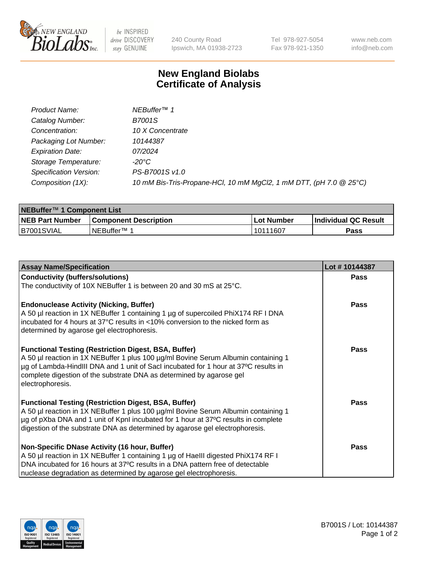

be INSPIRED drive DISCOVERY stay GENUINE

240 County Road Ipswich, MA 01938-2723

Tel 978-927-5054 Fax 978-921-1350 www.neb.com info@neb.com

## **New England Biolabs Certificate of Analysis**

| Product Name:           | NEBuffer <sup>™</sup> 1                                            |
|-------------------------|--------------------------------------------------------------------|
| Catalog Number:         | <b>B7001S</b>                                                      |
| Concentration:          | 10 X Concentrate                                                   |
| Packaging Lot Number:   | 10144387                                                           |
| <b>Expiration Date:</b> | 07/2024                                                            |
| Storage Temperature:    | -20°C                                                              |
| Specification Version:  | PS-B7001S v1.0                                                     |
| Composition (1X):       | 10 mM Bis-Tris-Propane-HCl, 10 mM MgCl2, 1 mM DTT, (pH 7.0 @ 25°C) |

| NEBuffer™ 1 Component List |                              |             |                             |  |
|----------------------------|------------------------------|-------------|-----------------------------|--|
| <b>NEB Part Number</b>     | <b>Component Description</b> | ⊺Lot Number | <b>Individual QC Result</b> |  |
| IB7001SVIAL                | INEBuffer™ 1                 | 10111607    | Pass                        |  |

| <b>Assay Name/Specification</b>                                                                                                                                                                                                                                                                                                      | Lot #10144387 |
|--------------------------------------------------------------------------------------------------------------------------------------------------------------------------------------------------------------------------------------------------------------------------------------------------------------------------------------|---------------|
| <b>Conductivity (buffers/solutions)</b>                                                                                                                                                                                                                                                                                              | <b>Pass</b>   |
| The conductivity of 10X NEBuffer 1 is between 20 and 30 mS at 25°C.                                                                                                                                                                                                                                                                  |               |
| <b>Endonuclease Activity (Nicking, Buffer)</b><br>A 50 µl reaction in 1X NEBuffer 1 containing 1 µg of supercoiled PhiX174 RF I DNA<br>incubated for 4 hours at 37°C results in <10% conversion to the nicked form as<br>determined by agarose gel electrophoresis.                                                                  | Pass          |
| <b>Functional Testing (Restriction Digest, BSA, Buffer)</b><br>A 50 µl reaction in 1X NEBuffer 1 plus 100 µg/ml Bovine Serum Albumin containing 1<br>µg of Lambda-HindIII DNA and 1 unit of Sacl incubated for 1 hour at 37°C results in<br>complete digestion of the substrate DNA as determined by agarose gel<br>electrophoresis. | Pass          |
| <b>Functional Testing (Restriction Digest, BSA, Buffer)</b><br>A 50 µl reaction in 1X NEBuffer 1 plus 100 µg/ml Bovine Serum Albumin containing 1<br>µg of pXba DNA and 1 unit of KpnI incubated for 1 hour at 37°C results in complete<br>digestion of the substrate DNA as determined by agarose gel electrophoresis.              | Pass          |
| Non-Specific DNase Activity (16 hour, Buffer)<br>A 50 µl reaction in 1X NEBuffer 1 containing 1 µg of HaellI digested PhiX174 RF I<br>DNA incubated for 16 hours at 37°C results in a DNA pattern free of detectable<br>nuclease degradation as determined by agarose gel electrophoresis.                                           | Pass          |